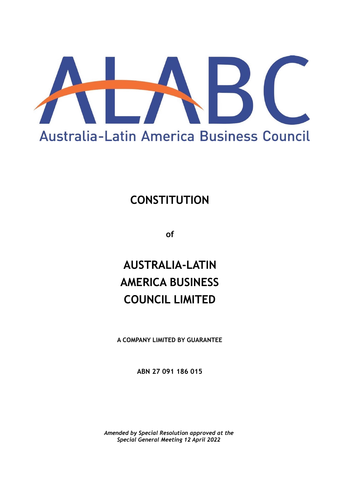

## **CONSTITUTION**

**of**

# **AUSTRALIA-LATIN AMERICA BUSINESS COUNCIL LIMITED**

**A COMPANY LIMITED BY GUARANTEE**

**ABN 27 091 186 015**

*Amended by Special Resolution approved at the Special General Meeting 12 April 2022*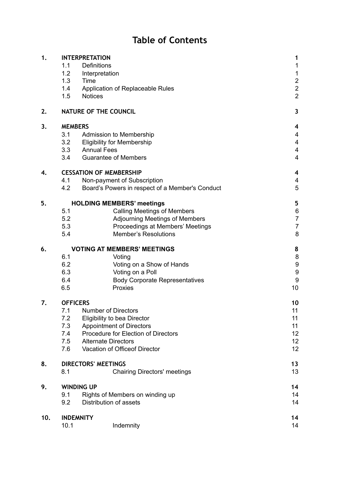## **Table of Contents**

| 1.  | <b>INTERPRETATION</b>              | 1                                                              |                         |  |
|-----|------------------------------------|----------------------------------------------------------------|-------------------------|--|
|     | 1.1                                | Definitions                                                    | 1                       |  |
|     | 1.2                                | Interpretation                                                 | $\mathbf 1$             |  |
|     | 1.3                                | Time                                                           | $\frac{2}{2}$           |  |
|     | 1.4                                | Application of Replaceable Rules                               |                         |  |
|     | 1.5                                | <b>Notices</b>                                                 | $\overline{2}$          |  |
| 2.  | NATURE OF THE COUNCIL              |                                                                |                         |  |
| 3.  | <b>MEMBERS</b>                     | 4                                                              |                         |  |
|     | 3.1                                | Admission to Membership                                        | 4                       |  |
|     | 3.2                                | <b>Eligibility for Membership</b>                              | $\overline{\mathbf{4}}$ |  |
|     | 3.3                                | <b>Annual Fees</b>                                             | $\overline{\mathbf{4}}$ |  |
|     | 3.4                                | <b>Guarantee of Members</b>                                    | $\overline{\mathbf{4}}$ |  |
| 4.  | <b>CESSATION OF MEMBERSHIP</b>     | 4                                                              |                         |  |
|     | 4.1                                | Non-payment of Subscription                                    | $\overline{\mathbf{4}}$ |  |
|     | 4.2                                | Board's Powers in respect of a Member's Conduct                | 5                       |  |
| 5.  | <b>HOLDING MEMBERS' meetings</b>   | 5                                                              |                         |  |
|     | 5.1                                | <b>Calling Meetings of Members</b>                             | $\boldsymbol{6}$        |  |
|     | 5.2                                | <b>Adjourning Meetings of Members</b>                          | $\overline{7}$          |  |
|     | 5.3                                | Proceedings at Members' Meetings                               | $\overline{7}$          |  |
|     | 5.4                                | <b>Member's Resolutions</b>                                    | 8                       |  |
| 6.  | <b>VOTING AT MEMBERS' MEETINGS</b> | 8                                                              |                         |  |
|     | 6.1                                | Voting                                                         | $\bf 8$                 |  |
|     | 6.2                                | Voting on a Show of Hands                                      | $\boldsymbol{9}$        |  |
|     | 6.3                                | Voting on a Poll                                               | $\boldsymbol{9}$        |  |
|     | 6.4<br>6.5                         | <b>Body Corporate Representatives</b><br>Proxies               | $\boldsymbol{9}$<br>10  |  |
|     |                                    |                                                                |                         |  |
| 7.  | <b>OFFICERS</b>                    | 10                                                             |                         |  |
|     | 7.1<br>7.2                         | <b>Number of Directors</b>                                     | 11<br>11                |  |
|     | 7.3                                | Eligibility to bea Director<br><b>Appointment of Directors</b> | 11                      |  |
|     | 7.4                                | Procedure for Election of Directors                            | 12                      |  |
|     | 7.5                                | <b>Alternate Directors</b>                                     | 12                      |  |
|     | 7.6                                | Vacation of Officeof Director                                  | 12                      |  |
| 8.  | <b>DIRECTORS' MEETINGS</b>         | 13                                                             |                         |  |
|     | 8.1                                | <b>Chairing Directors' meetings</b>                            | 13                      |  |
| 9.  | <b>WINDING UP</b>                  |                                                                |                         |  |
|     | 9.1                                | 14<br>14                                                       |                         |  |
|     | 9.2                                | Rights of Members on winding up<br>Distribution of assets      | 14                      |  |
| 10. |                                    | <b>INDEMNITY</b>                                               | 14                      |  |
|     | 10.1                               | Indemnity                                                      | 14                      |  |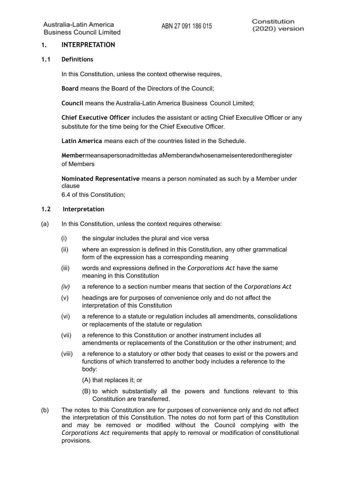## <span id="page-2-0"></span>**1. INTERPRETATION**

#### <span id="page-2-1"></span>**1.1 Definitions**

In this Constitution, unless the context otherwise requires,

**Board** means the Board of the Directors of the Council;

**Council** means the Australia-Latin America Business Council Limited;

**Chief Executive Officer** includes the assistant or acting Chief Executive Officer or any substitute for the time being for the Chief Executive Officer.

**Latin America** means each of the countries listed in the Schedule.

**Member**meansapersonadmittedas aMemberandwhosenameisenteredontheregister of Members

**Nominated Representative** means a person nominated as such by a Member under clause

6.4 of this Constitution;

#### <span id="page-2-2"></span>**1.2 Interpretation**

- (a) In this Constitution, unless the context requires otherwise:
	- (i) the singular includes the plural and vice versa
	- (ii) where an expression is defined in this Constitution, any other grammatical form of the expression has a corresponding meaning
	- (iii) words and expressions defined in the *Corporations Act* have the same meaning in this Constitution
	- *(iv)* a reference to a section number means that section of the *Corporations Act*
	- (v) headings are for purposes of convenience only and do not affect the interpretation of this Constitution
	- (vi) a reference to a statute or regulation includes all amendments, consolidations or replacements of the statute or regulation
	- (vii) a reference to this Constitution or another instrument includes all amendments or replacements of the Constitution or the other instrument; and
	- (viii) a reference to a statutory or other body that ceases to exist or the powers and functions of which transferred to another body includes a reference to the body:
		- (A) that replaces it; or
		- (B) to which substantially all the powers and functions relevant to this Constitution are transferred.
- (b) The notes to this Constitution are for purposes of convenience only and do not affect the interpretation of this Constitution. The notes do not form part of this Constitution and may be removed or modified without the Council complying with the *Corporations Act* requirements that apply to removal or modification of constitutional provisions.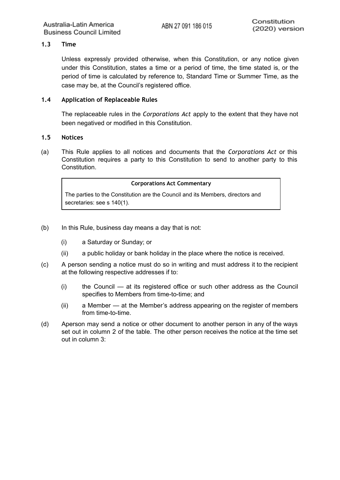## <span id="page-3-0"></span>**1.3 Time**

Unless expressly provided otherwise, when this Constitution, or any notice given under this Constitution, states a time or a period of time, the time stated is, or the period of time is calculated by reference to, Standard Time or Summer Time, as the case may be, at the Council's registered office.

## <span id="page-3-1"></span>**1.4 Application of Replaceable Rules**

The replaceable rules in the *Corporations Act* apply to the extent that they have not been negatived or modified in this Constitution.

#### <span id="page-3-2"></span>**1.5 Notices**

(a) This Rule applies to all notices and documents that the *Corporations Act* or this Constitution requires a party to this Constitution to send to another party to this **Constitution** 

#### **Corporations Act Commentary**

The parties to the Constitution are the Council and its Members, directors and secretaries: see s 140(1).

- (b) In this Rule, business day means a day that is not:
	- (i) a Saturday or Sunday; or
	- (ii) a public holiday or bank holiday in the place where the notice is received.
- (c) A person sending a notice must do so in writing and must address it to the recipient at the following respective addresses if to:
	- (i) the Council at its registered office or such other address as the Council specifies to Members from time-to-time; and
	- (ii) a Member at the Member's address appearing on the register of members from time-to-time.
- (d) Aperson may send a notice or other document to another person in any of the ways set out in column 2 of the table. The other person receives the notice at the time set out in column 3: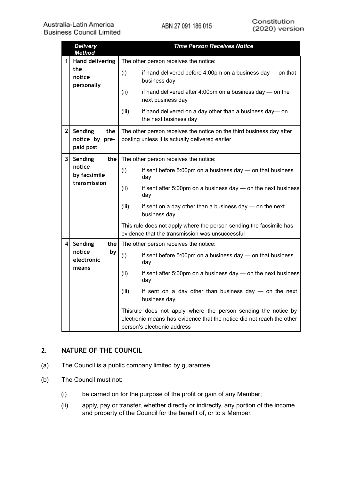|                | <b>Delivery</b><br><b>Method</b>              | <b>Time Person Receives Notice</b>                                                                                      |                                                                                                                                                                        |  |
|----------------|-----------------------------------------------|-------------------------------------------------------------------------------------------------------------------------|------------------------------------------------------------------------------------------------------------------------------------------------------------------------|--|
| 1 <sup>1</sup> | <b>Hand delivering</b>                        | The other person receives the notice:                                                                                   |                                                                                                                                                                        |  |
|                | the<br>notice<br>personally                   | (i)                                                                                                                     | if hand delivered before 4:00pm on a business day - on that<br>business day                                                                                            |  |
|                |                                               | (ii)                                                                                                                    | if hand delivered after 4:00pm on a business day - on the<br>next business day                                                                                         |  |
|                |                                               | (iii)                                                                                                                   | if hand delivered on a day other than a business day-on<br>the next business day                                                                                       |  |
| 2 <sup>1</sup> | Sending<br>the<br>notice by pre-<br>paid post | The other person receives the notice on the third business day after<br>posting unless it is actually delivered earlier |                                                                                                                                                                        |  |
| 3 <sup>1</sup> | Sending<br>the                                | The other person receives the notice:                                                                                   |                                                                                                                                                                        |  |
|                | notice<br>by facsimile                        | (i)                                                                                                                     | if sent before 5:00pm on a business day - on that business<br>day                                                                                                      |  |
|                | transmission                                  | (ii)                                                                                                                    | if sent after 5:00pm on a business day - on the next business<br>day                                                                                                   |  |
|                |                                               | (iii)                                                                                                                   | if sent on a day other than a business day - on the next<br>business day                                                                                               |  |
|                |                                               |                                                                                                                         | This rule does not apply where the person sending the facsimile has<br>evidence that the transmission was unsuccessful                                                 |  |
| 4              | Sending<br>the                                | The other person receives the notice:                                                                                   |                                                                                                                                                                        |  |
|                | notice<br>by<br>electronic                    | (i)                                                                                                                     | if sent before 5:00pm on a business day - on that business<br>day                                                                                                      |  |
|                | means                                         | (ii)                                                                                                                    | if sent after 5:00pm on a business day - on the next business<br>day                                                                                                   |  |
|                |                                               | (iii)                                                                                                                   | if sent on a day other than business day $-$ on the next<br>business day                                                                                               |  |
|                |                                               |                                                                                                                         | Thisrule does not apply where the person sending the notice by<br>electronic means has evidence that the notice did not reach the other<br>person's electronic address |  |

## <span id="page-4-0"></span>**2. NATURE OF THE COUNCIL**

- (a) The Council is a public company limited by guarantee.
- (b) The Council must not:
	- (i) be carried on for the purpose of the profit or gain of any Member;
	- (ii) apply, pay or transfer, whether directly or indirectly, any portion of the income and property of the Council for the benefit of, or to a Member.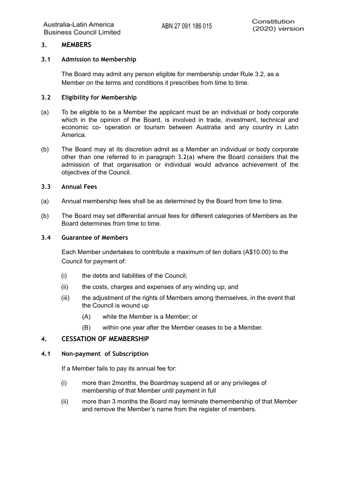## <span id="page-5-1"></span><span id="page-5-0"></span>**3. MEMBERS**

### **3.1 Admission to Membership**

The Board may admit any person eligible for membership under Rule 3.2, as a Member on the terms and conditions it prescribes from time to time.

#### <span id="page-5-2"></span>**3.2 Eligibility for Membership**

- (a) To be eligible to be a Member the applicant must be an individual or body corporate which in the opinion of the Board, is involved in trade, investment, technical and economic co- operation or tourism between Australia and any country in Latin America.
- (b) The Board may at its discretion admit as a Member an individual or body corporate other than one referred to in paragraph 3.2(a) where the Board considers that the admission of that organisation or individual would advance achievement of the objectives of the Council.

#### <span id="page-5-3"></span>**3.3 Annual Fees**

- (a) Annual membership fees shall be as determined by the Board from time to time.
- (b) The Board may set differential annual fees for different categories of Members as the Board determines from time to time.

#### <span id="page-5-4"></span>**3.4 Guarantee of Members**

Each Member undertakes to contribute a maximum of ten dollars (A\$10.00) to the Council for payment of:

- (i) the debts and liabilities of the Council;
- (ii) the costs, charges and expenses of any winding up; and
- (iii) the adjustment of the rights of Members among themselves, in the event that the Council is wound up
	- (A) while the Member is a Member; or
	- (B) within one year after the Member ceases to be a Member.

## <span id="page-5-5"></span>**4. CESSATION OF MEMBERSHIP**

#### <span id="page-5-6"></span>**4.1 Non-payment of Subscription**

If a Member fails to pay its annual fee for:

- (i) more than 2months, the Boardmay suspend all or any privileges of membership of that Member until payment in full
- (ii) more than 3 months the Board may terminate themembership of that Member and remove the Member's name from the register of members.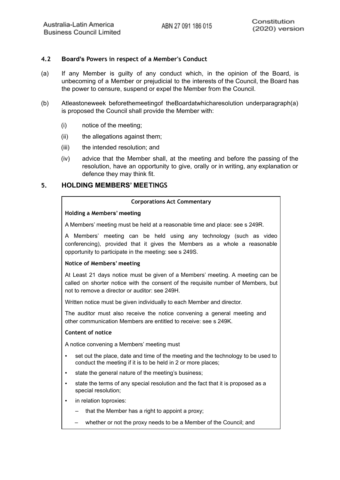## <span id="page-6-0"></span>**4.2 Board's Powers in respect of a Member's Conduct**

- (a) If any Member is guilty of any conduct which, in the opinion of the Board, is unbecoming of a Member or prejudicial to the interests of the Council, the Board has the power to censure, suspend or expel the Member from the Council.
- (b) Atleastoneweek beforethemeetingof theBoardatwhicharesolution underparagraph(a) is proposed the Council shall provide the Member with:
	- (i) notice of the meeting;
	- (ii) the allegations against them;
	- (iii) the intended resolution; and
	- (iv) advice that the Member shall, at the meeting and before the passing of the resolution, have an opportunity to give, orally or in writing, any explanation or defence they may think fit.

## <span id="page-6-1"></span>**5. HOLDING MEMBERS' MEETINGS**

#### **Corporations Act Commentary**

#### **Holding a Members' meeting**

A Members' meeting must be held at a reasonable time and place: see s 249R.

A Members' meeting can be held using any technology (such as video conferencing), provided that it gives the Members as a whole a reasonable opportunity to participate in the meeting: see s 249S.

#### **Notice of Members' meeting**

At Least 21 days notice must be given of a Members' meeting. A meeting can be called on shorter notice with the consent of the requisite number of Members, but not to remove a director or auditor: see 249H.

Written notice must be given individually to each Member and director.

The auditor must also receive the notice convening a general meeting and other communication Members are entitled to receive: see s 249K.

#### **Content of notice**

A notice convening a Members' meeting must

- set out the place, date and time of the meeting and the technology to be used to conduct the meeting if it is to be held in 2 or more places;
- state the general nature of the meeting's business:
- state the terms of any special resolution and the fact that it is proposed as a special resolution;
- in relation toproxies:
	- that the Member has a right to appoint a proxy:
	- whether or not the proxy needs to be a Member of the Council; and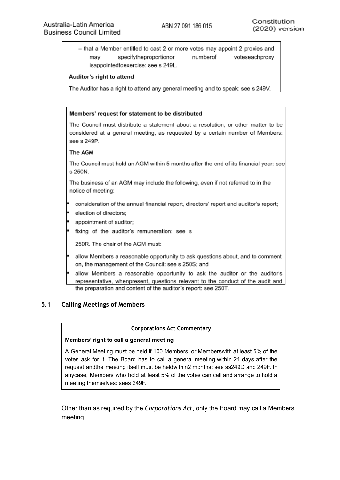- that a Member entitled to cast 2 or more votes may appoint 2 proxies and may specifytheproportionor numberof voteseachproxy isappointedtoexercise: see s 249L.

#### Auditor's right to attend

The Auditor has a right to attend any general meeting and to speak: see s 249V.

#### Members' request for statement to be distributed

The Council must distribute a statement about a resolution, or other matter to be considered at a general meeting, as requested by a certain number of Members: see s 249P.

#### The AGM

The Council must hold an AGM within 5 months after the end of its financial year: see s 250N.

The business of an AGM may include the following, even if not referred to in the notice of meeting:

- consideration of the annual financial report, directors' report and auditor's report;
- election of directors;
- appointment of auditor:
- fixing of the auditor's remuneration: see s

250R. The chair of the AGM must:

- allow Members a reasonable opportunity to ask questions about, and to comment on, the management of the Council: see s 250S; and
- allow Members a reasonable opportunity to ask the auditor or the auditor's representative, whenpresent, questions relevant to the conduct of the audit and the preparation and content of the auditor's report: see 250T.

## <span id="page-7-0"></span>**5.1 Calling Meetings of Members**

#### **Corporations Act Commentary**

#### **Members' right to call a general meeting**

A General Meeting must be held if 100 Members, or Memberswith at least 5% of the votes ask for it. The Board has to call a general meeting within 21 days after the request andthe meeting itself must be heldwithin2 months: see ss249D and 249F. In anycase, Members who hold at least 5% of the votes can call and arrange to hold a meeting themselves: sees 249F.

Other than as required by the *Corporations Act*, only the Board may call a Members' meeting.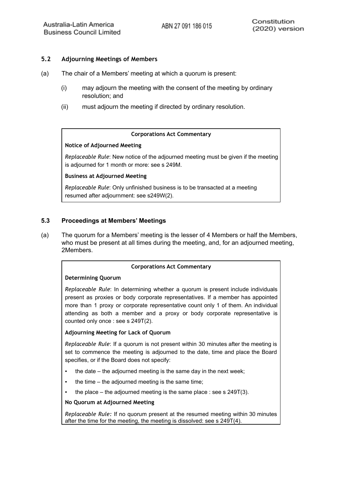## <span id="page-8-0"></span>**5.2 Adjourning Meetings of Members**

- (a) The chair of a Members' meeting at which a quorum is present:
	- (i) may adjourn the meeting with the consent of the meeting by ordinary resolution; and
	- (ii) must adjourn the meeting if directed by ordinary resolution.

#### **Corporations Act Commentary**

#### **Notice of Adjourned Meeting**

*Replaceable Rule*: New notice of the adjourned meeting must be given if the meeting is adjourned for 1 month or more: see s 249M.

#### **Business at Adjourned Meeting**

*Replaceable Rule*: Only unfinished business is to be transacted at a meeting resumed after adjournment: see s249W(2).

#### <span id="page-8-1"></span>**5.3 Proceedings at Members' Meetings**

(a) The quorum for a Members' meeting is the lesser of 4 Members or half the Members, who must be present at all times during the meeting, and, for an adjourned meeting, 2Members.

#### **Corporations Act Commentary**

#### **Determining Quorum**

*Replaceable Rule*: In determining whether a quorum is present include individuals present as proxies or body corporate representatives. If a member has appointed more than 1 proxy or corporate representative count only 1 of them. An individual attending as both a member and a proxy or body corporate representative is counted only once : see s 249T(2).

#### **Adjourning Meeting for Lack of Quorum**

*Replaceable Rule*: If a quorum is not present within 30 minutes after the meeting is set to commence the meeting is adjourned to the date, time and place the Board specifies, or if the Board does not specify:

- the date  $-$  the adjourned meeting is the same day in the next week;
- the time the adjourned meeting is the same time;
- the place the adjourned meeting is the same place : see s  $249T(3)$ .

#### **No Quorum at Adjourned Meeting**

*Replaceable Rule:* If no quorum present at the resumed meeting within 30 minutes after the time for the meeting, the meeting is dissolved: see s 249T(4).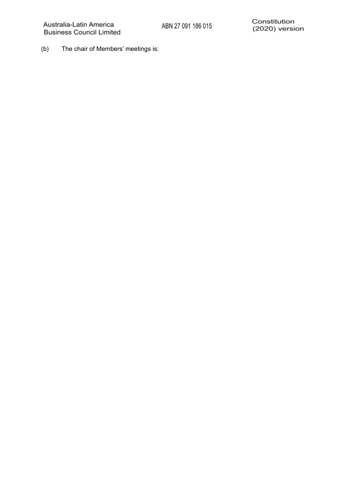(b) The chair of Members' meetings is: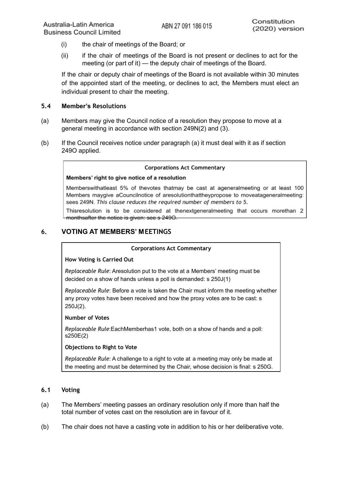- (i) the chair of meetings of the Board; or
- (ii) if the chair of meetings of the Board is not present or declines to act for the meeting (or part of it) — the deputy chair of meetings of the Board.

If the chair or deputy chair of meetings of the Board is not available within 30 minutes of the appointed start of the meeting, or declines to act, the Members must elect an individual present to chair the meeting.

## <span id="page-10-0"></span>**5.4 Member's Resolutions**

- (a) Members may give the Council notice of a resolution they propose to move at a general meeting in accordance with section 249N(2) and (3).
- (b) If the Council receives notice under paragraph (a) it must deal with it as if section 249O applied.

#### **Corporations Act Commentary**

#### Members' right to give notice of a resolution

Memberswithatleast 5% of thevotes thatmay be cast at ageneralmeeting or at least 100 Members maygive aCouncilnotice of aresolutionthattheypropose to moveatageneralmeeting: sees 249N. This clause reduces the required number of members to 5.

Thisresolution is to be considered at thenextgeneralmeeting that occurs morethan 2 monthsafter the notice is given: see s 2490.

## <span id="page-10-1"></span>**6. VOTING AT MEMBERS' MEETINGS**

#### **Corporations Act Commentary**

#### **How Voting is Carried Out**

*Replaceable Rule*: Aresolution put to the vote at a Members' meeting must be decided on a show of hands unless a poll is demanded: s 250J(1)

*Replaceable Rule*: Before a vote is taken the Chair must inform the meeting whether any proxy votes have been received and how the proxy votes are to be cast: s 250J(2).

#### **Number of Votes**

*Replaceable Rule*:EachMemberhas1 vote, both on a show of hands and a poll: s250E(2)

## **Objections to Right to Vote**

*Replaceable Rule*: A challenge to a right to vote at a meeting may only be made at the meeting and must be determined by the Chair, whose decision is final: s 250G.

## <span id="page-10-2"></span>**6.1 Voting**

- (a) The Members' meeting passes an ordinary resolution only if more than half the total number of votes cast on the resolution are in favour of it.
- (b) The chair does not have a casting vote in addition to his or her deliberative vote.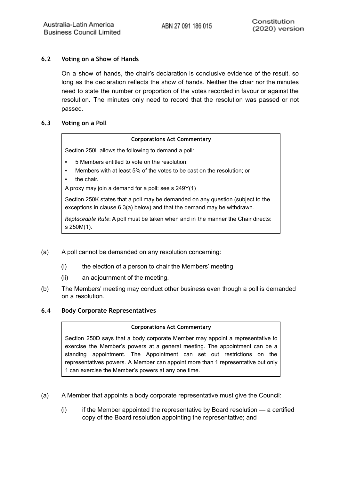## <span id="page-11-0"></span>**6.2 Voting on a Show of Hands**

On a show of hands, the chair's declaration is conclusive evidence of the result, so long as the declaration reflects the show of hands. Neither the chair nor the minutes need to state the number or proportion of the votes recorded in favour or against the resolution. The minutes only need to record that the resolution was passed or not passed.

## <span id="page-11-1"></span>**6.3 Voting on a Poll**

#### **Corporations Act Commentary**

Section 250L allows the following to demand a poll:

- 5 Members entitled to vote on the resolution;
- Members with at least 5% of the votes to be cast on the resolution; or
- the chair.

A proxy may join a demand for a poll: see s 249Y(1)

Section 250K states that a poll may be demanded on any question (subject to the exceptions in clause 6.3(a) below) and that the demand may be withdrawn.

*Replaceable Rule*: A poll must be taken when and in the manner the Chair directs: s 250M(1).

- (a) A poll cannot be demanded on any resolution concerning:
	- (i) the election of a person to chair the Members' meeting
	- (ii) an adjournment of the meeting.
- (b) The Members' meeting may conduct other business even though a poll is demanded on a resolution.

#### <span id="page-11-2"></span>**6.4 Body Corporate Representatives**

#### **Corporations Act Commentary**

Section 250D says that a body corporate Member may appoint a representative to exercise the Member's powers at a general meeting. The appointment can be a standing appointment. The Appointment can set out restrictions on the representatives powers. A Member can appoint more than 1 representative but only 1 can exercise the Member's powers at any one time.

- (a) A Member that appoints a body corporate representative must give the Council:
	- $(i)$  if the Member appointed the representative by Board resolution  $-$  a certified copy of the Board resolution appointing the representative; and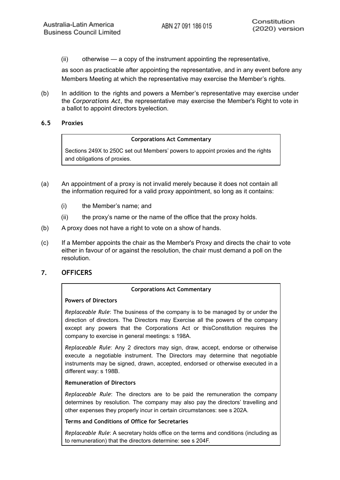(ii) otherwise — a copy of the instrument appointing the representative,

as soon as practicable after appointing the representative, and in any event before any Members Meeting at which the representative may exercise the Member's rights.

(b) In addition to the rights and powers a Member's representative may exercise under the *Corporations Act*, the representative may exercise the Member's Right to vote in a ballot to appoint directors byelection.

### <span id="page-12-0"></span>**6.5 Proxies**

#### **Corporations Act Commentary**

Sections 249X to 250C set out Members' powers to appoint proxies and the rights and obligations of proxies.

- (a) An appointment of a proxy is not invalid merely because it does not contain all the information required for a valid proxy appointment, so long as it contains:
	- (i) the Member's name; and
	- (ii) the proxy's name or the name of the office that the proxy holds.
- (b) A proxy does not have a right to vote on a show of hands.
- (c) If a Member appoints the chair as the Member's Proxy and directs the chair to vote either in favour of or against the resolution, the chair must demand a poll on the resolution.

## <span id="page-12-1"></span>**7. OFFICERS**

#### **Corporations Act Commentary**

#### **Powers of Directors**

*Replaceable Rule*: The business of the company is to be managed by or under the direction of directors. The Directors may Exercise all the powers of the company except any powers that the Corporations Act or thisConstitution requires the company to exercise in general meetings: s 198A.

*Replaceable Rule*: Any 2 directors may sign, draw, accept, endorse or otherwise execute a negotiable instrument. The Directors may determine that negotiable instruments may be signed, drawn, accepted, endorsed or otherwise executed in a different way: s 198B.

#### **Remuneration of Directors**

*Replaceable Rule*: The directors are to be paid the remuneration the company determines by resolution. The company may also pay the directors' travelling and other expenses they properly incur in certain circumstances: see s 202A.

## **Terms and Conditions of Office for Secretaries**

*Replaceable Rule*: A secretary holds office on the terms and conditions (including as to remuneration) that the directors determine: see s 204F.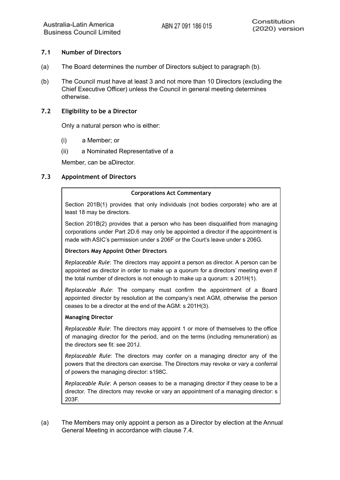## <span id="page-14-0"></span>**7.1 Number of Directors**

- (a) The Board determines the number of Directors subject to paragraph (b).
- (b) The Council must have at least 3 and not more than 10 Directors (excluding the Chief Executive Officer) unless the Council in general meeting determines otherwise.

### <span id="page-14-1"></span>**7.2 Eligibility to be a Director**

Only a natural person who is either:

- (i) a Member; or
- (ii) a Nominated Representative of a

Member, can be aDirector.

## <span id="page-14-2"></span>**7.3 Appointment of Directors**

#### **Corporations Act Commentary**

Section 201B(1) provides that only individuals (not bodies corporate) who are at least 18 may be directors.

Section 201B(2) provides that a person who has been disqualified from managing corporations under Part 2D.6 may only be appointed a director if the appointment is made with ASIC's permission under s 206F or the Court's leave under s 206G.

#### **Directors May Appoint Other Directors**

*Replaceable Rule*: The directors may appoint a person as director. A person can be appointed as director in order to make up a quorum for a directors' meeting even if the total number of directors is not enough to make up a quorum: s 201H(1).

*Replaceable Rule*: The company must confirm the appointment of a Board appointed director by resolution at the company's next AGM, otherwise the person ceases to be a director at the end of the AGM: s 201H(3).

#### **Managing Director**

*Replaceable Rule*: The directors may appoint 1 or more of themselves to the office of managing director for the period, and on the terms (including remuneration) as the directors see fit: see 201J.

*Replaceable Rule*: The directors may confer on a managing director any of the powers that the directors can exercise. The Directors may revoke or vary a conferral of powers the managing director: s198C.

*Replaceable Rule*: A person ceases to be a managing director if they cease to be a director. The directors may revoke or vary an appointment of a managing director: s 203F.

(a) The Members may only appoint a person as a Director by election at the Annual General Meeting in accordance with clause 7.4.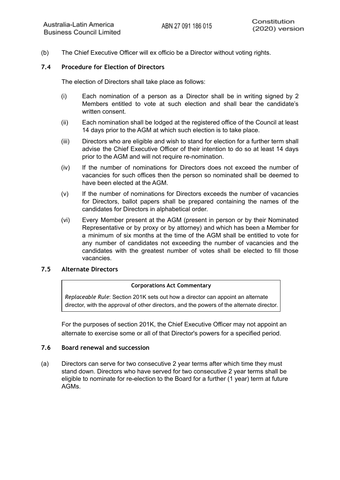(b) The Chief Executive Officer will ex officio be a Director without voting rights.

## <span id="page-15-0"></span>**7.4 Procedure for Election of Directors**

The election of Directors shall take place as follows:

- (i) Each nomination of a person as a Director shall be in writing signed by 2 Members entitled to vote at such election and shall bear the candidate's written consent.
- (ii) Each nomination shall be lodged at the registered office of the Council at least 14 days prior to the AGM at which such election is to take place.
- (iii) Directors who are eligible and wish to stand for election for a further term shall advise the Chief Executive Officer of their intention to do so at least 14 days prior to the AGM and will not require re-nomination.
- (iv) If the number of nominations for Directors does not exceed the number of vacancies for such offices then the person so nominated shall be deemed to have been elected at the AGM.
- (v) If the number of nominations for Directors exceeds the number of vacancies for Directors, ballot papers shall be prepared containing the names of the candidates for Directors in alphabetical order.
- (vi) Every Member present at the AGM (present in person or by their Nominated Representative or by proxy or by attorney) and which has been a Member for a minimum of six months at the time of the AGM shall be entitled to vote for any number of candidates not exceeding the number of vacancies and the candidates with the greatest number of votes shall be elected to fill those vacancies.

#### <span id="page-15-1"></span>**7.5 Alternate Directors**

#### **Corporations Act Commentary**

*Replaceable Rule*: Section 201K sets out how a director can appoint an alternate director, with the approval of other directors, and the powers of the alternate director.

For the purposes of section 201K, the Chief Executive Officer may not appoint an alternate to exercise some or all of that Director's powers for a specified period.

#### <span id="page-15-2"></span>**7.6 Board renewal and succession**

(a) Directors can serve for two consecutive 2 year terms after which time they must stand down. Directors who have served for two consecutive 2 year terms shall be eligible to nominate for re-election to the Board for a further (1 year) term at future AGMs.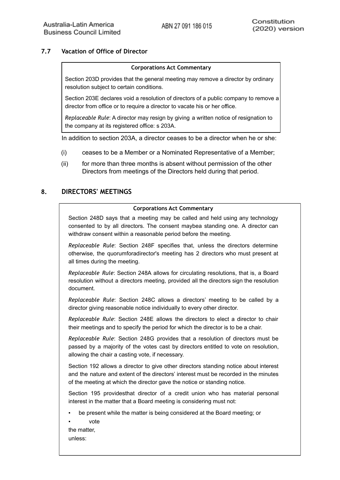## **7.7 Vacation of Office of Director**

#### **Corporations Act Commentary**

Section 203D provides that the general meeting may remove a director by ordinary resolution subject to certain conditions.

Section 203E declares void a resolution of directors of a public company to remove a director from office or to require a director to vacate his or her office.

*Replaceable Rule*: A director may resign by giving a written notice of resignation to the company at its registered office: s 203A.

In addition to section 203A, a director ceases to be a director when he or she:

- (i) ceases to be a Member or a Nominated Representative of a Member;
- (ii) for more than three months is absent without permission of the other Directors from meetings of the Directors held during that period.

## <span id="page-16-0"></span>**8. DIRECTORS' MEETINGS**

#### **Corporations Act Commentary**

Section 248D says that a meeting may be called and held using any technology consented to by all directors. The consent maybea standing one. A director can withdraw consent within a reasonable period before the meeting.

*Replaceable Rule*: Section 248F specifies that, unless the directors determine otherwise, the quorumforadirector's meeting has 2 directors who must present at all times during the meeting.

*Replaceable Rule*: Section 248A allows for circulating resolutions, that is, a Board resolution without a directors meeting, provided all the directors sign the resolution document.

*Replaceable Rule*: Section 248C allows a directors' meeting to be called by a director giving reasonable notice individually to every other director.

*Replaceable Rule*: Section 248E allows the directors to elect a director to chair their meetings and to specify the period for which the director is to be a chair.

*Replaceable Rule*: Section 248G provides that a resolution of directors must be passed by a majority of the votes cast by directors entitled to vote on resolution, allowing the chair a casting vote, if necessary.

Section 192 allows a director to give other directors standing notice about interest and the nature and extent of the directors' interest must be recorded in the minutes of the meeting at which the director gave the notice or standing notice.

Section 195 providesthat director of a credit union who has material personal interest in the matter that a Board meeting is considering must not:

- be present while the matter is being considered at the Board meeting; or
- vote
- the matter, unless: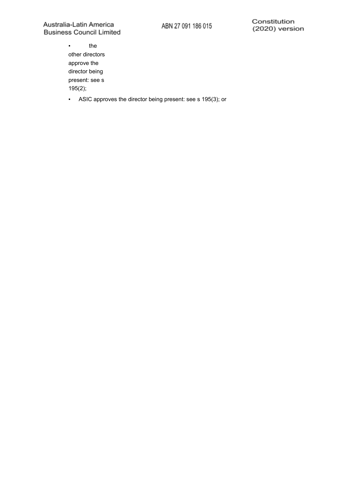▪ the other directors approve the director being present: see s 195(2);

▪ ASIC approves the director being present: see s 195(3); or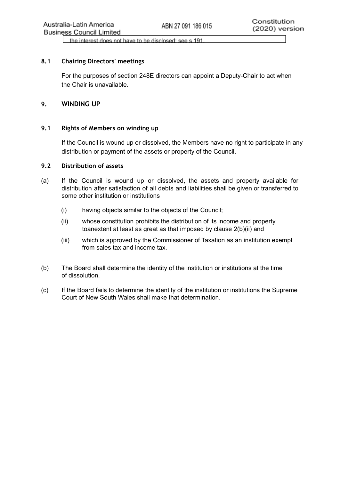the interest does not have to be disclosed: see s 191.

## <span id="page-18-4"></span><span id="page-18-0"></span>**8.1 Chairing Directors' meetings**

For the purposes of section 248E directors can appoint a Deputy-Chair to act when the Chair is unavailable.

## <span id="page-18-1"></span>**9. WINDING UP**

### <span id="page-18-2"></span>**9.1 Rights of Members on winding up**

If the Council is wound up or dissolved, the Members have no right to participate in any distribution or payment of the assets or property of the Council.

### <span id="page-18-3"></span>**9.2 Distribution of assets**

- (a) If the Council is wound up or dissolved, the assets and property available for distribution after satisfaction of all debts and liabilities shall be given or transferred to some other institution or institutions
	- (i) having objects similar to the objects of the Council;
	- (ii) whose constitution prohibits the distribution of its income and property toanextent at least as great as that imposed by clause 2(b)(ii) and
	- (iii) which is approved by the Commissioner of Taxation as an institution exempt from sales tax and income tax.
- (b) The Board shall determine the identity of the institution or institutions at the time of dissolution.
- (c) If the Board fails to determine the identity of the institution or institutions the Supreme Court of New South Wales shall make that determination.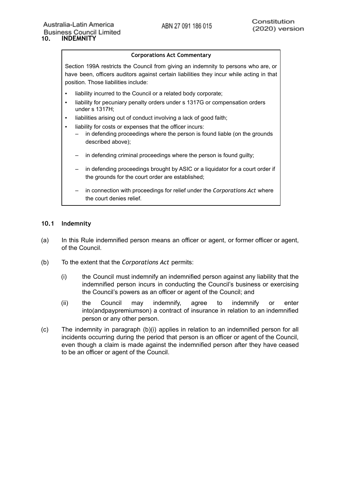## **Corporations Act Commentary**

Section 199A restricts the Council from giving an indemnity to persons who are, or have been, officers auditors against certain liabilities they incur while acting in that position. Those liabilities include:

- liability incurred to the Council or a related body corporate;
- liability for pecuniary penalty orders under s 1317G or compensation orders under s 1317H;
- liabilities arising out of conduct involving a lack of good faith;
- liability for costs or expenses that the officer incurs:
	- in defending proceedings where the person is found liable (on the grounds described above);
	- in defending criminal proceedings where the person is found guilty;
	- in defending proceedings brought by ASIC or a liquidator for a court order if the grounds for the court order are established;
	- in connection with proceedings for relief under the *Corporations Act* where the court denies relief.

#### <span id="page-19-0"></span>**10.1 Indemnity**

- (a) In this Rule indemnified person means an officer or agent, or former officer or agent, of the Council.
- (b) To the extent that the *Corporations Act* permits:
	- (i) the Council must indemnify an indemnified person against any liability that the indemnified person incurs in conducting the Council's business or exercising the Council's powers as an officer or agent of the Council; and
	- (ii) the Council may indemnify, agree to indemnify or enter into(andpaypremiumson) a contract of insurance in relation to an indemnified person or any other person.
- (c) The indemnity in paragraph (b)(i) applies in relation to an indemnified person for all incidents occurring during the period that person is an officer or agent of the Council, even though a claim is made against the indemnified person after they have ceased to be an officer or agent of the Council.